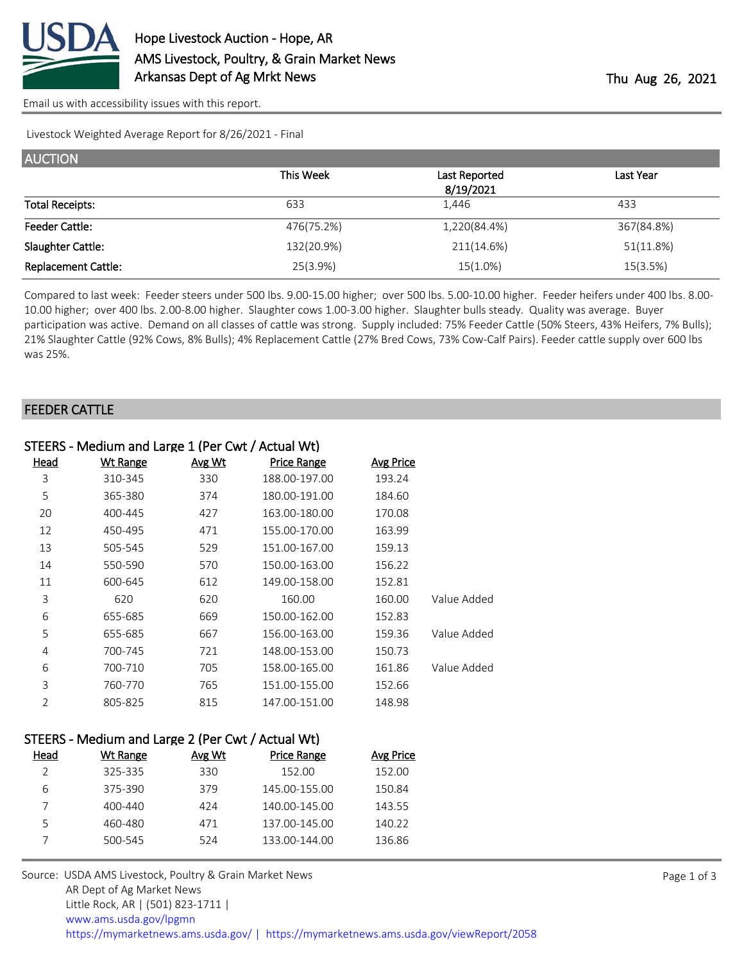

[Email us with accessibility issues with this report.](mailto:mars@ams.usda.gov?subject=508%20issue)

Livestock Weighted Average Report for 8/26/2021 - Final

| <b>AUCTION</b>             |            |               |            |
|----------------------------|------------|---------------|------------|
|                            | This Week  | Last Reported | Last Year  |
|                            |            | 8/19/2021     |            |
| <b>Total Receipts:</b>     | 633        | 1.446         | 433        |
| <b>Feeder Cattle:</b>      | 476(75.2%) | 1,220(84.4%)  | 367(84.8%) |
| Slaughter Cattle:          | 132(20.9%) | 211(14.6%)    | 51(11.8%)  |
| <b>Replacement Cattle:</b> | 25(3.9%)   | 15(1.0%)      | 15(3.5%)   |

Compared to last week: Feeder steers under 500 lbs. 9.00-15.00 higher; over 500 lbs. 5.00-10.00 higher. Feeder heifers under 400 lbs. 8.00- 10.00 higher; over 400 lbs. 2.00-8.00 higher. Slaughter cows 1.00-3.00 higher. Slaughter bulls steady. Quality was average. Buyer participation was active. Demand on all classes of cattle was strong. Supply included: 75% Feeder Cattle (50% Steers, 43% Heifers, 7% Bulls); 21% Slaughter Cattle (92% Cows, 8% Bulls); 4% Replacement Cattle (27% Bred Cows, 73% Cow-Calf Pairs). Feeder cattle supply over 600 lbs was 25%.

#### FEEDER CATTLE

| STEERS - Medium and Large 1 (Per Cwt / Actual Wt) |                 |        |               |                  |             |  |  |  |
|---------------------------------------------------|-----------------|--------|---------------|------------------|-------------|--|--|--|
| Head                                              | <b>Wt Range</b> | Avg Wt | Price Range   | <b>Avg Price</b> |             |  |  |  |
| 3                                                 | 310-345         | 330    | 188.00-197.00 | 193.24           |             |  |  |  |
| 5                                                 | 365-380         | 374    | 180.00-191.00 | 184.60           |             |  |  |  |
| 20                                                | 400-445         | 427    | 163.00-180.00 | 170.08           |             |  |  |  |
| 12                                                | 450-495         | 471    | 155.00-170.00 | 163.99           |             |  |  |  |
| 13                                                | 505-545         | 529    | 151.00-167.00 | 159.13           |             |  |  |  |
| 14                                                | 550-590         | 570    | 150.00-163.00 | 156.22           |             |  |  |  |
| 11                                                | 600-645         | 612    | 149.00-158.00 | 152.81           |             |  |  |  |
| 3                                                 | 620             | 620    | 160.00        | 160.00           | Value Added |  |  |  |
| 6                                                 | 655-685         | 669    | 150.00-162.00 | 152.83           |             |  |  |  |
| 5                                                 | 655-685         | 667    | 156.00-163.00 | 159.36           | Value Added |  |  |  |
| 4                                                 | 700-745         | 721    | 148.00-153.00 | 150.73           |             |  |  |  |
| 6                                                 | 700-710         | 705    | 158.00-165.00 | 161.86           | Value Added |  |  |  |
| 3                                                 | 760-770         | 765    | 151.00-155.00 | 152.66           |             |  |  |  |
| $\mathfrak{D}$                                    | 805-825         | 815    | 147.00-151.00 | 148.98           |             |  |  |  |

## STEERS - Medium and Large 2 (Per Cwt / Actual Wt)

| Head | Wt Range | Avg Wt | Price Range   | Avg Price |
|------|----------|--------|---------------|-----------|
|      | 325-335  | 330    | 152.00        | 152.00    |
| 6    | 375-390  | 379    | 145.00-155.00 | 150.84    |
|      | 400-440  | 424    | 140.00-145.00 | 143.55    |
|      | 460-480  | 471    | 137.00-145.00 | 140.22    |
|      | 500-545  | 524    | 133.00-144.00 | 136.86    |
|      |          |        |               |           |

Source: USDA AMS Livestock, Poultry & Grain Market News AR Dept of Ag Market News Little Rock, AR | (501) 823-1711 | [www.ams.usda.gov/lpgmn](https://www.ams.usda.gov/market-news) <https://mymarketnews.ams.usda.gov/> [|](https://www.ams.usda.gov/market-news) <https://mymarketnews.ams.usda.gov/viewReport/2058>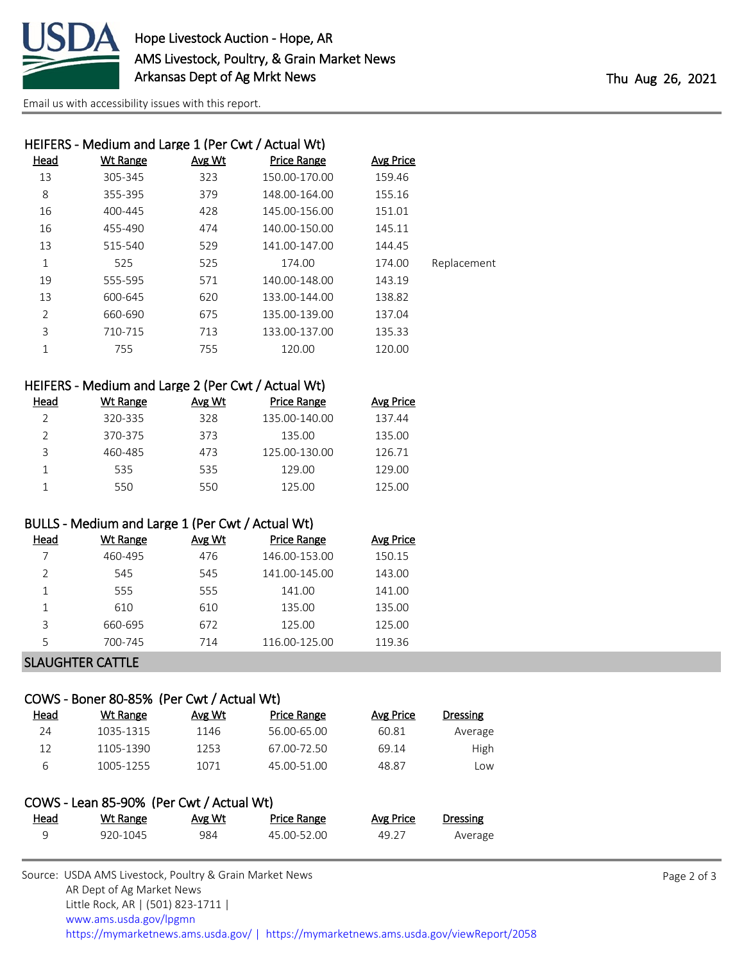

[Email us with accessibility issues with this report.](mailto:mars@ams.usda.gov?subject=508%20issue)

| HEIFERS - Medium and Large 1 (Per Cwt / Actual Wt) |                 |        |                    |           |             |  |  |  |  |
|----------------------------------------------------|-----------------|--------|--------------------|-----------|-------------|--|--|--|--|
| <b>Head</b>                                        | <b>Wt Range</b> | Avg Wt | <b>Price Range</b> | Avg Price |             |  |  |  |  |
| 13                                                 | 305-345         | 323    | 150.00-170.00      | 159.46    |             |  |  |  |  |
| 8                                                  | 355-395         | 379    | 148.00-164.00      | 155.16    |             |  |  |  |  |
| 16                                                 | 400-445         | 428    | 145.00-156.00      | 151.01    |             |  |  |  |  |
| 16                                                 | 455-490         | 474    | 140.00-150.00      | 145.11    |             |  |  |  |  |
| 13                                                 | 515-540         | 529    | 141.00-147.00      | 144.45    |             |  |  |  |  |
| 1                                                  | 525             | 525    | 174.00             | 174.00    | Replacement |  |  |  |  |
| 19                                                 | 555-595         | 571    | 140.00-148.00      | 143.19    |             |  |  |  |  |
| 13                                                 | 600-645         | 620    | 133.00-144.00      | 138.82    |             |  |  |  |  |
| $\overline{2}$                                     | 660-690         | 675    | 135.00-139.00      | 137.04    |             |  |  |  |  |
| 3                                                  | 710-715         | 713    | 133.00-137.00      | 135.33    |             |  |  |  |  |
| 1                                                  | 755             | 755    | 120.00             | 120.00    |             |  |  |  |  |

| HEIFERS - Medium and Large 2 (Per Cwt / Actual Wt) |  |  |  |  |  |  |
|----------------------------------------------------|--|--|--|--|--|--|
|----------------------------------------------------|--|--|--|--|--|--|

| Head | Wt Range | Avg Wt | Price Range   | <b>Avg Price</b> |
|------|----------|--------|---------------|------------------|
|      | 320-335  | 328    | 135.00-140.00 | 137.44           |
|      | 370-375  | 373    | 135.00        | 135.00           |
| 3    | 460-485  | 473    | 125.00-130.00 | 126.71           |
|      | 535      | 535    | 129.00        | 129.00           |
|      | 550      | 550    | 125.00        | 125.00           |

### BULLS - Medium and Large 1 (Per Cwt / Actual Wt)

| Head | Wt Range | Avg Wt | Price Range   | <b>Avg Price</b> |
|------|----------|--------|---------------|------------------|
| 7    | 460-495  | 476    | 146.00-153.00 | 150.15           |
|      | 545      | 545    | 141.00-145.00 | 143.00           |
|      | 555      | 555    | 141.00        | 141.00           |
|      | 610      | 610    | 135.00        | 135.00           |
| 3    | 660-695  | 672    | 125.00        | 125.00           |
| 5    | 700-745  | 714    | 116.00-125.00 | 119.36           |
|      |          |        |               |                  |

# SLAUGHTER CATTLE

## COWS - Boner 80-85% (Per Cwt / Actual Wt)

| Head | Wt Range  | Avg Wt | Price Range | Avg Price | <b>Dressing</b> |
|------|-----------|--------|-------------|-----------|-----------------|
| 24   | 1035-1315 | 1146   | 56.00-65.00 | 60.81     | Average         |
| 12   | 1105-1390 | 1253   | 67.00-72.50 | 69.14     | <b>High</b>     |
| h    | 1005-1255 | 1071   | 45.00-51.00 | 48.87     | Low             |

| COWS - Lean 85-90% (Per Cwt / Actual Wt) |          |        |                    |           |          |  |  |
|------------------------------------------|----------|--------|--------------------|-----------|----------|--|--|
| <u>Head</u>                              | Wt Range | Avg Wt | <b>Price Range</b> | Avg Price | Dressing |  |  |
| a                                        | 920-1045 | 984    | 45.00-52.00        | 49.27     | Average  |  |  |